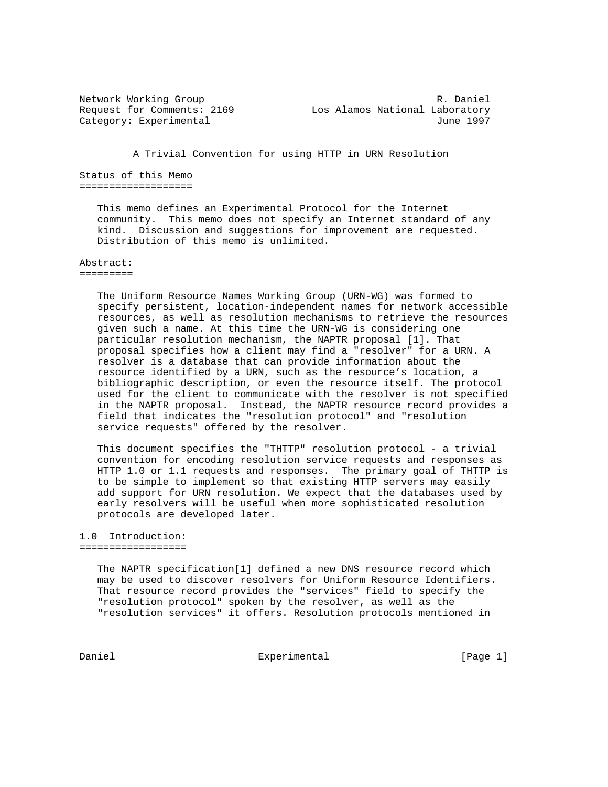Network Working Group and the control of the R. Daniel Request for Comments: 2169 Los Alamos National Laboratory Category: Experimental June 1997

A Trivial Convention for using HTTP in URN Resolution

Status of this Memo ===================

> This memo defines an Experimental Protocol for the Internet community. This memo does not specify an Internet standard of any kind. Discussion and suggestions for improvement are requested. Distribution of this memo is unlimited.

## Abstract:

=========

 The Uniform Resource Names Working Group (URN-WG) was formed to specify persistent, location-independent names for network accessible resources, as well as resolution mechanisms to retrieve the resources given such a name. At this time the URN-WG is considering one particular resolution mechanism, the NAPTR proposal [1]. That proposal specifies how a client may find a "resolver" for a URN. A resolver is a database that can provide information about the resource identified by a URN, such as the resource's location, a bibliographic description, or even the resource itself. The protocol used for the client to communicate with the resolver is not specified in the NAPTR proposal. Instead, the NAPTR resource record provides a field that indicates the "resolution protocol" and "resolution service requests" offered by the resolver.

 This document specifies the "THTTP" resolution protocol - a trivial convention for encoding resolution service requests and responses as HTTP 1.0 or 1.1 requests and responses. The primary goal of THTTP is to be simple to implement so that existing HTTP servers may easily add support for URN resolution. We expect that the databases used by early resolvers will be useful when more sophisticated resolution protocols are developed later.

## 1.0 Introduction: ==================

 The NAPTR specification[1] defined a new DNS resource record which may be used to discover resolvers for Uniform Resource Identifiers. That resource record provides the "services" field to specify the "resolution protocol" spoken by the resolver, as well as the "resolution services" it offers. Resolution protocols mentioned in

Daniel **Experimental** Experimental [Page 1]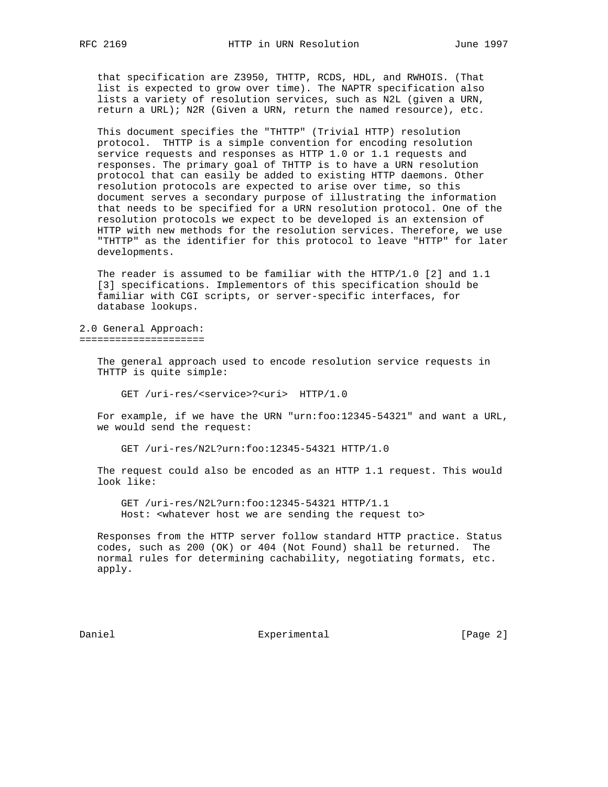that specification are Z3950, THTTP, RCDS, HDL, and RWHOIS. (That list is expected to grow over time). The NAPTR specification also lists a variety of resolution services, such as N2L (given a URN, return a URL); N2R (Given a URN, return the named resource), etc.

 This document specifies the "THTTP" (Trivial HTTP) resolution protocol. THTTP is a simple convention for encoding resolution service requests and responses as HTTP 1.0 or 1.1 requests and responses. The primary goal of THTTP is to have a URN resolution protocol that can easily be added to existing HTTP daemons. Other resolution protocols are expected to arise over time, so this document serves a secondary purpose of illustrating the information that needs to be specified for a URN resolution protocol. One of the resolution protocols we expect to be developed is an extension of HTTP with new methods for the resolution services. Therefore, we use "THTTP" as the identifier for this protocol to leave "HTTP" for later developments.

 The reader is assumed to be familiar with the HTTP/1.0 [2] and 1.1 [3] specifications. Implementors of this specification should be familiar with CGI scripts, or server-specific interfaces, for database lookups.

2.0 General Approach: =====================

> The general approach used to encode resolution service requests in THTTP is quite simple:

GET /uri-res/<service>?<uri> HTTP/1.0

 For example, if we have the URN "urn:foo:12345-54321" and want a URL, we would send the request:

GET /uri-res/N2L?urn:foo:12345-54321 HTTP/1.0

 The request could also be encoded as an HTTP 1.1 request. This would look like:

 GET /uri-res/N2L?urn:foo:12345-54321 HTTP/1.1 Host: <whatever host we are sending the request to>

 Responses from the HTTP server follow standard HTTP practice. Status codes, such as 200 (OK) or 404 (Not Found) shall be returned. The normal rules for determining cachability, negotiating formats, etc. apply.

Daniel Experimental Experimental [Page 2]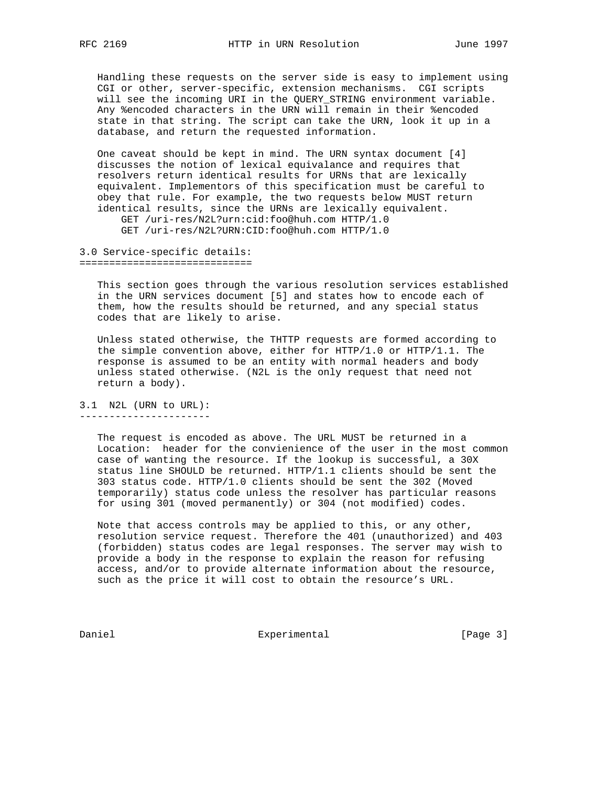Handling these requests on the server side is easy to implement using CGI or other, server-specific, extension mechanisms. CGI scripts will see the incoming URI in the QUERY\_STRING environment variable. Any %encoded characters in the URN will remain in their %encoded state in that string. The script can take the URN, look it up in a database, and return the requested information.

 One caveat should be kept in mind. The URN syntax document [4] discusses the notion of lexical equivalance and requires that resolvers return identical results for URNs that are lexically equivalent. Implementors of this specification must be careful to obey that rule. For example, the two requests below MUST return identical results, since the URNs are lexically equivalent. GET /uri-res/N2L?urn:cid:foo@huh.com HTTP/1.0

GET /uri-res/N2L?URN:CID:foo@huh.com HTTP/1.0

## 3.0 Service-specific details: =============================

 This section goes through the various resolution services established in the URN services document [5] and states how to encode each of them, how the results should be returned, and any special status codes that are likely to arise.

 Unless stated otherwise, the THTTP requests are formed according to the simple convention above, either for HTTP/1.0 or HTTP/1.1. The response is assumed to be an entity with normal headers and body unless stated otherwise. (N2L is the only request that need not return a body).

## 3.1 N2L (URN to URL): ----------------------

 The request is encoded as above. The URL MUST be returned in a Location: header for the convienience of the user in the most common case of wanting the resource. If the lookup is successful, a 30X status line SHOULD be returned. HTTP/1.1 clients should be sent the 303 status code. HTTP/1.0 clients should be sent the 302 (Moved temporarily) status code unless the resolver has particular reasons for using 301 (moved permanently) or 304 (not modified) codes.

 Note that access controls may be applied to this, or any other, resolution service request. Therefore the 401 (unauthorized) and 403 (forbidden) status codes are legal responses. The server may wish to provide a body in the response to explain the reason for refusing access, and/or to provide alternate information about the resource, such as the price it will cost to obtain the resource's URL.

Daniel Experimental Experimental [Page 3]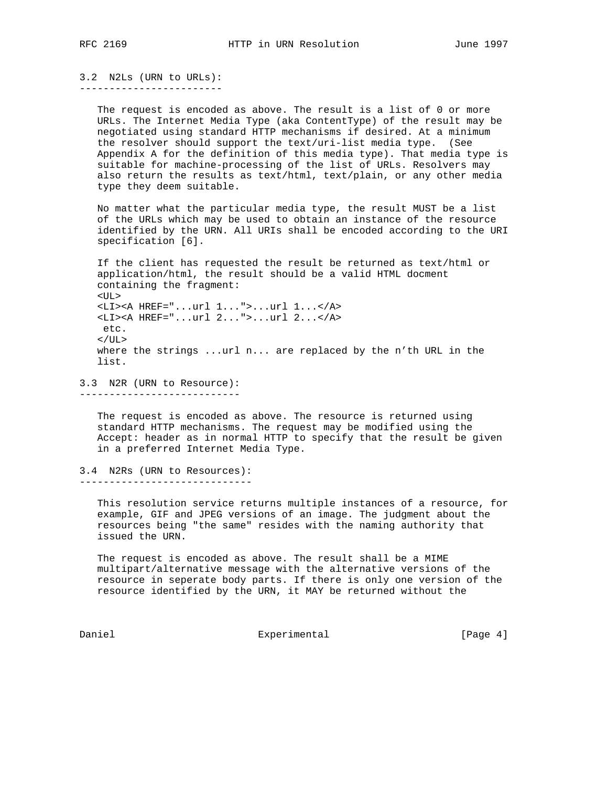3.2 N2Ls (URN to URLs): ------------------------

> The request is encoded as above. The result is a list of 0 or more URLs. The Internet Media Type (aka ContentType) of the result may be negotiated using standard HTTP mechanisms if desired. At a minimum the resolver should support the text/uri-list media type. (See Appendix A for the definition of this media type). That media type is suitable for machine-processing of the list of URLs. Resolvers may also return the results as text/html, text/plain, or any other media type they deem suitable.

> No matter what the particular media type, the result MUST be a list of the URLs which may be used to obtain an instance of the resource identified by the URN. All URIs shall be encoded according to the URI specification [6].

 If the client has requested the result be returned as text/html or application/html, the result should be a valid HTML docment containing the fragment: <UL> <LI><A HREF="...url 1...">...url 1...</A> <LI><A HREF="...url 2...">...url 2...</A>  $e^+e^ \langle$  /UL> where the strings ...url n... are replaced by the n'th URL in the list.

3.3 N2R (URN to Resource):

---------------------------

 The request is encoded as above. The resource is returned using standard HTTP mechanisms. The request may be modified using the Accept: header as in normal HTTP to specify that the result be given in a preferred Internet Media Type.

3.4 N2Rs (URN to Resources): -----------------------------

 This resolution service returns multiple instances of a resource, for example, GIF and JPEG versions of an image. The judgment about the resources being "the same" resides with the naming authority that issued the URN.

 The request is encoded as above. The result shall be a MIME multipart/alternative message with the alternative versions of the resource in seperate body parts. If there is only one version of the resource identified by the URN, it MAY be returned without the

Daniel **Experimental** Experimental [Page 4]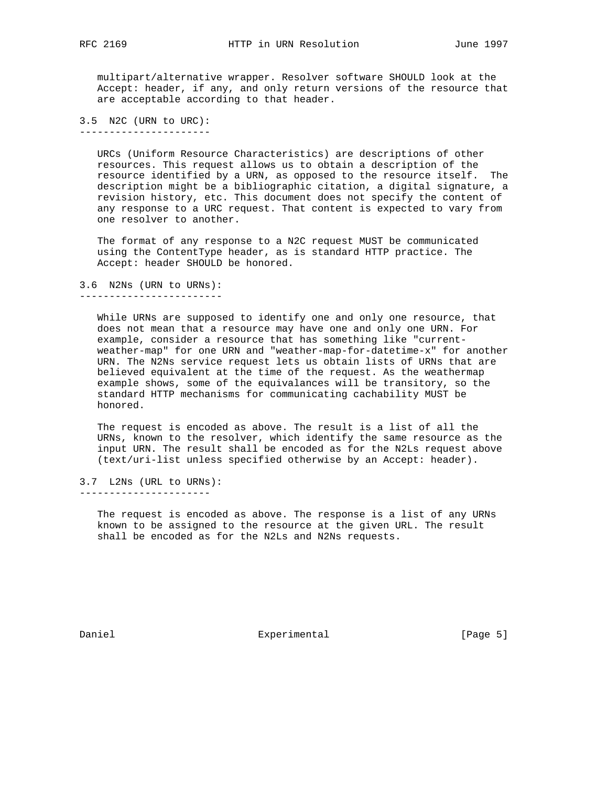multipart/alternative wrapper. Resolver software SHOULD look at the Accept: header, if any, and only return versions of the resource that are acceptable according to that header.

3.5 N2C (URN to URC): ----------------------

> URCs (Uniform Resource Characteristics) are descriptions of other resources. This request allows us to obtain a description of the resource identified by a URN, as opposed to the resource itself. The description might be a bibliographic citation, a digital signature, a revision history, etc. This document does not specify the content of any response to a URC request. That content is expected to vary from one resolver to another.

 The format of any response to a N2C request MUST be communicated using the ContentType header, as is standard HTTP practice. The Accept: header SHOULD be honored.

3.6 N2Ns (URN to URNs): ------------------------

> While URNs are supposed to identify one and only one resource, that does not mean that a resource may have one and only one URN. For example, consider a resource that has something like "current weather-map" for one URN and "weather-map-for-datetime-x" for another URN. The N2Ns service request lets us obtain lists of URNs that are believed equivalent at the time of the request. As the weathermap example shows, some of the equivalances will be transitory, so the standard HTTP mechanisms for communicating cachability MUST be honored.

 The request is encoded as above. The result is a list of all the URNs, known to the resolver, which identify the same resource as the input URN. The result shall be encoded as for the N2Ls request above (text/uri-list unless specified otherwise by an Accept: header).

3.7 L2Ns (URL to URNs): ----------------------

> The request is encoded as above. The response is a list of any URNs known to be assigned to the resource at the given URL. The result shall be encoded as for the N2Ls and N2Ns requests.

Daniel **Experimental** Experimental [Page 5]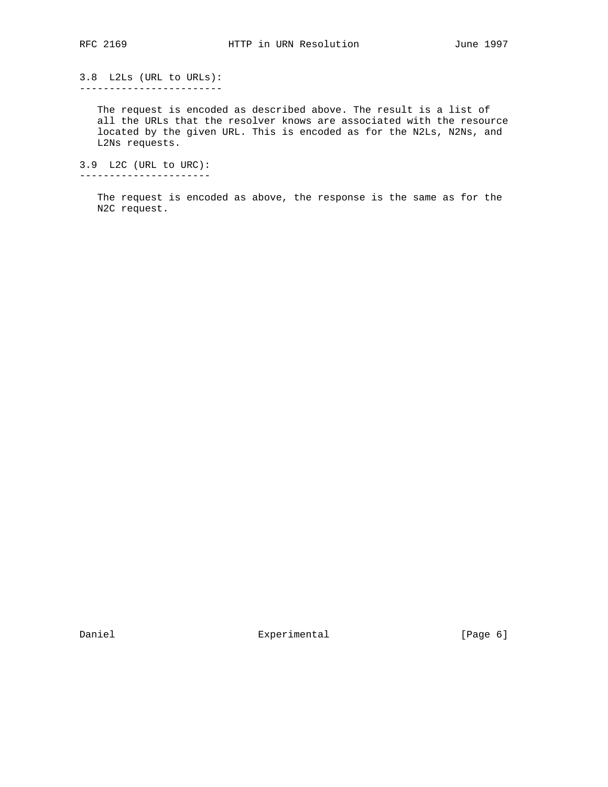3.8 L2Ls (URL to URLs): ------------------------

> The request is encoded as described above. The result is a list of all the URLs that the resolver knows are associated with the resource located by the given URL. This is encoded as for the N2Ls, N2Ns, and L2Ns requests.

3.9 L2C (URL to URC): ----------------------

> The request is encoded as above, the response is the same as for the N2C request.

Daniel **Experimental** Experimental [Page 6]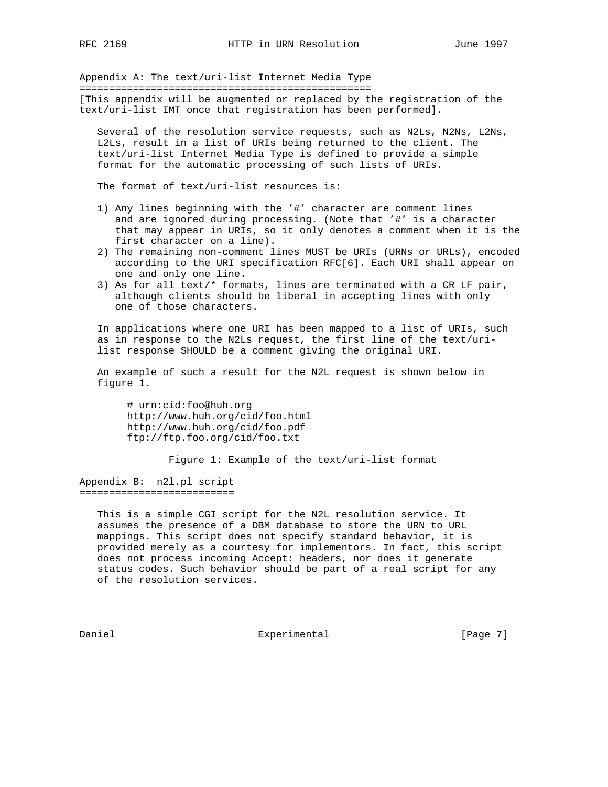Appendix A: The text/uri-list Internet Media Type

================================================= [This appendix will be augmented or replaced by the registration of the text/uri-list IMT once that registration has been performed].

 Several of the resolution service requests, such as N2Ls, N2Ns, L2Ns, L2Ls, result in a list of URIs being returned to the client. The text/uri-list Internet Media Type is defined to provide a simple format for the automatic processing of such lists of URIs.

The format of text/uri-list resources is:

- 1) Any lines beginning with the '#' character are comment lines and are ignored during processing. (Note that '#' is a character that may appear in URIs, so it only denotes a comment when it is the first character on a line).
- 2) The remaining non-comment lines MUST be URIs (URNs or URLs), encoded according to the URI specification RFC[6]. Each URI shall appear on one and only one line.
- 3) As for all text/\* formats, lines are terminated with a CR LF pair, although clients should be liberal in accepting lines with only one of those characters.

 In applications where one URI has been mapped to a list of URIs, such as in response to the N2Ls request, the first line of the text/uri list response SHOULD be a comment giving the original URI.

 An example of such a result for the N2L request is shown below in figure 1.

 # urn:cid:foo@huh.org http://www.huh.org/cid/foo.html http://www.huh.org/cid/foo.pdf ftp://ftp.foo.org/cid/foo.txt

Figure 1: Example of the text/uri-list format

Appendix B: n2l.pl script ==========================

> This is a simple CGI script for the N2L resolution service. It assumes the presence of a DBM database to store the URN to URL mappings. This script does not specify standard behavior, it is provided merely as a courtesy for implementors. In fact, this script does not process incoming Accept: headers, nor does it generate status codes. Such behavior should be part of a real script for any of the resolution services.

Daniel Experimental Experimental [Page 7]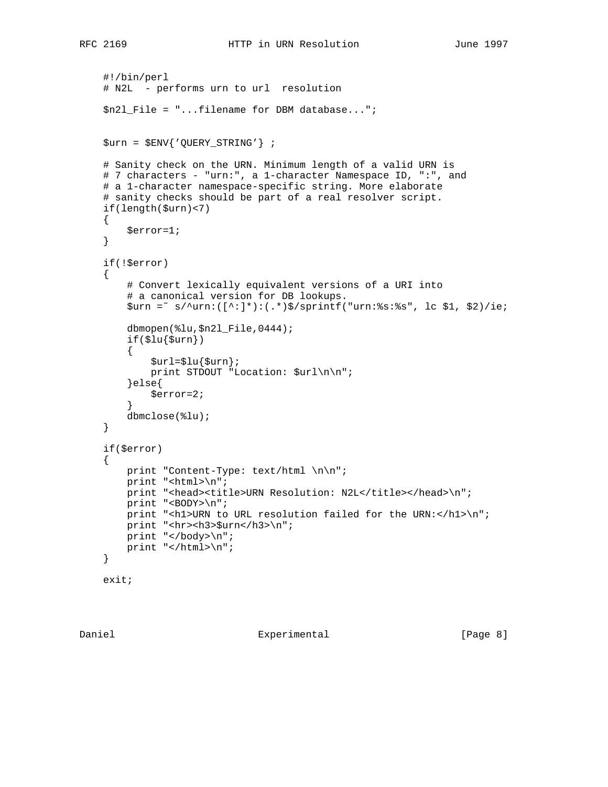```
 #!/bin/perl
    # N2L - performs urn to url resolution
    $n2l_File = "...filename for DBM database...";
    $urn = $ENV{'QUERY_STRING'} ;
    # Sanity check on the URN. Minimum length of a valid URN is
    # 7 characters - "urn:", a 1-character Namespace ID, ":", and
    # a 1-character namespace-specific string. More elaborate
    # sanity checks should be part of a real resolver script.
    if(length($urn)<7)
    {
        $error=1;
    }
    if(!$error)
    {
        # Convert lexically equivalent versions of a URI into
        # a canonical version for DB lookups.
        $urn =˜ s/^urn:([^:]*):(.*)$/sprintf("urn:%s:%s", lc $1, $2)/ie;
        dbmopen(%lu,$n2l_File,0444);
       if(\$lu{\surn})\left\{ \begin{array}{c} \end{array} \right.\text{surl}=\text{slu}\{\text{surn}\};print STDOUT "Location: $url\n\n";
        }else{
            $error=2;
}
        dbmclose(%lu);
    }
    if($error)
    {
        print "Content-Type: text/html \n\n";
        print "<html>\n";
       print "<head><title>URN Resolution: N2L</title></head>\n";
        print "<BODY>\n";
       print "<h1>URN to URL resolution failed for the URN:</h1>\n";
       print "<hr><h3>$urn</h3>\n";
        print "</body>\n";
        print "</html>\n";
    }
```

```
 exit;
```
Daniel Experimental Experimental (Page 8)